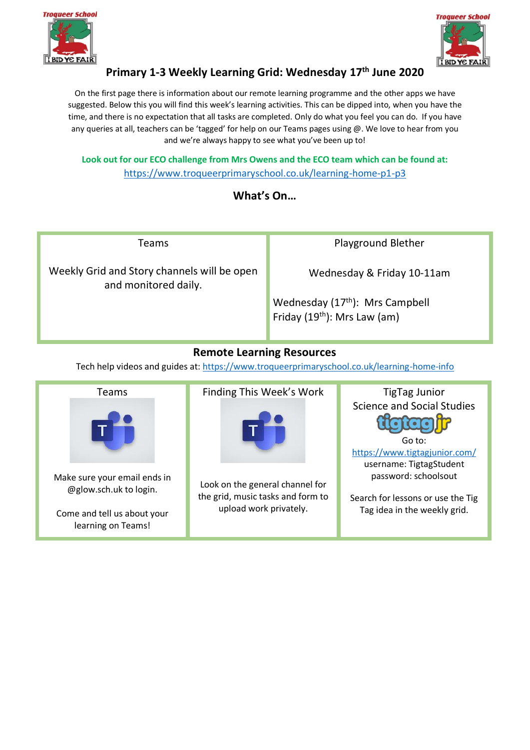



# **Primary 1-3 Weekly Learning Grid: Wednesday 17 th June 2020**

On the first page there is information about our remote learning programme and the other apps we have suggested. Below this you will find this week's learning activities. This can be dipped into, when you have the time, and there is no expectation that all tasks are completed. Only do what you feel you can do. If you have any queries at all, teachers can be 'tagged' for help on our Teams pages using @. We love to hear from you and we're always happy to see what you've been up to!

**Look out for our ECO challenge from Mrs Owens and the ECO team which can be found at:**  <https://www.troqueerprimaryschool.co.uk/learning-home-p1-p3>

## **What's On…**

Teams Weekly Grid and Story channels will be open and monitored daily. Playground Blether Wednesday & Friday 10-11am Wednesday (17<sup>th</sup>): Mrs Campbell Friday (19<sup>th</sup>): Mrs Law (am)

## **Remote Learning Resources**

Tech help videos and guides at: [https://www.troqueerprimaryschool.co.uk/learning-home-info](about:blank)

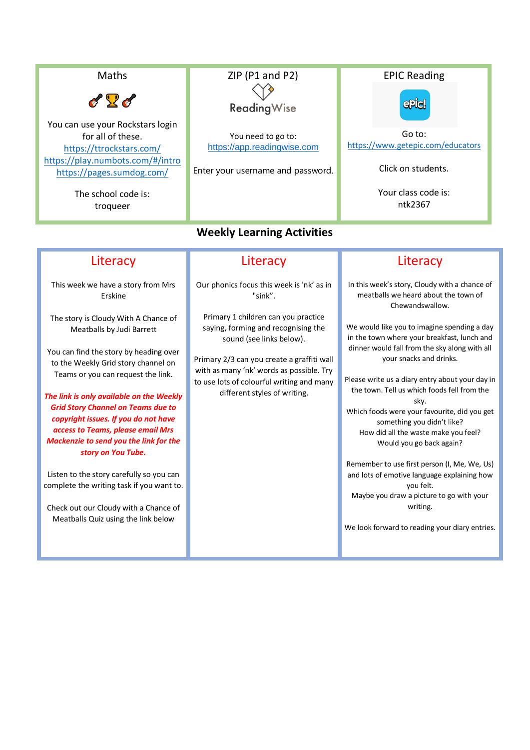Maths  $\mathscr{L}$ You can use your Rockstars login for all of these. [https://ttrockstars.com/](about:blank) [https://play.numbots.com/#/intro](about:blank#/intro) [https://pages.sumdog.com/](about:blank) The school code is: troqueer

# ZIP (P1 and P2) **Reading Wise**

You need to go to: [https://app.readingwise.com](https://app.readingwise.com/)

Enter your username and password.

#### **Weekly Learning Activities**

# **Literacy**

This week we have a story from Mrs Erskine

The story is Cloudy With A Chance of Meatballs by Judi Barrett

You can find the story by heading over to the Weekly Grid story channel on Teams or you can request the link.

*The link is only available on the Weekly Grid Story Channel on Teams due to copyright issues. If you do not have access to Teams, please email Mrs Mackenzie to send you the link for the story on You Tube.*

Listen to the story carefully so you can complete the writing task if you want to.

Check out our Cloudy with a Chance of Meatballs Quiz using the link below

#### **Literacy**

Our phonics focus this week is 'nk' as in "sink".

Primary 1 children can you practice saying, forming and recognising the sound (see links below).

Primary 2/3 can you create a graffiti wall with as many 'nk' words as possible. Try to use lots of colourful writing and many different styles of writing.

# **Literacy**

In this week's story, Cloudy with a chance of meatballs we heard about the town of Chewandswallow.

We would like you to imagine spending a day in the town where your breakfast, lunch and dinner would fall from the sky along with all your snacks and drinks.

Please write us a diary entry about your day in the town. Tell us which foods fell from the sky. Which foods were your favourite, did you get something you didn't like? How did all the waste make you feel? Would you go back again?

Remember to use first person (I, Me, We, Us) and lots of emotive language explaining how you felt. Maybe you draw a picture to go with your writing.

We look forward to reading your diary entries.

EPIC Reading epiel

Go to: [https://www.getepic.com/educators](about:blank)

Click on students.

Your class code is: ntk2367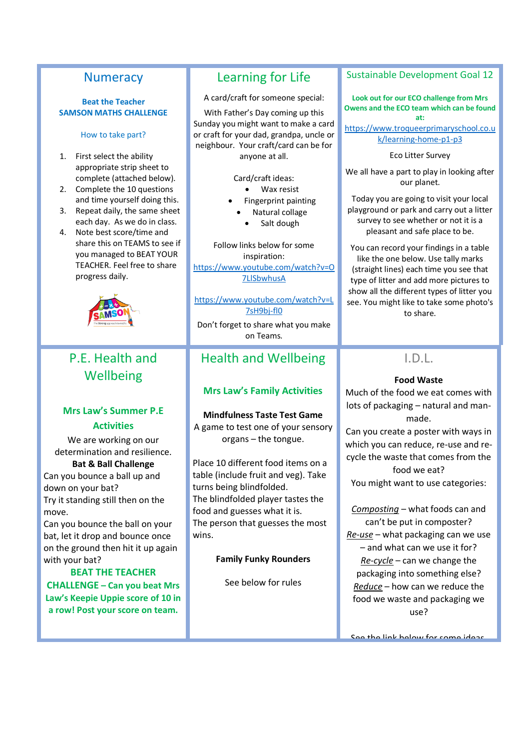#### **Numeracy**

#### **Beat the Teacher SAMSON MATHS CHALLENGE**

How to take part?

- 1. First select the ability appropriate strip sheet to complete (attached below).
- 2. Complete the 10 questions and time yourself doing this.
- 3. Repeat daily, the same sheet each day. As we do in class.
- 4. Note best score/time and share this on TEAMS to see if you managed to BEAT YOUR TEACHER. Feel free to share progress daily.



# P.E. Health and **Wellbeing**

#### **Mrs Law's Summer P.E Activities**

We are working on our determination and resilience.

**Bat & Ball Challenge** Can you bounce a ball up and down on your bat? Try it standing still then on the move.

Can you bounce the ball on your bat, let it drop and bounce once on the ground then hit it up again with your bat?

#### **BEAT THE TEACHER CHALLENGE – Can you beat Mrs Law's Keepie Uppie score of 10 in a row! Post your score on team.**

# Learning for Life

A card/craft for someone special:

With Father's Day coming up this Sunday you might want to make a card or craft for your dad, grandpa, uncle or neighbour. Your craft/card can be for anyone at all.

Card/craft ideas:

- Wax resist
- Fingerprint painting
- Natural collage
	- Salt dough

Follow links below for some inspiration: [https://www.youtube.com/watch?v=O](https://www.youtube.com/watch?v=O7LlSbwhusA) [7LlSbwhusA](https://www.youtube.com/watch?v=O7LlSbwhusA)

[https://www.youtube.com/watch?v=L](https://www.youtube.com/watch?v=L7sH9bj-fl0) [7sH9bj-fl0](https://www.youtube.com/watch?v=L7sH9bj-fl0)

Don't forget to share what you make on Teams.

# Health and Wellbeing

#### **Mrs Law's Family Activities**

**Mindfulness Taste Test Game** A game to test one of your sensory organs – the tongue.

Place 10 different food items on a table (include fruit and veg). Take turns being blindfolded. The blindfolded player tastes the food and guesses what it is. The person that guesses the most wins.

#### **Family Funky Rounders**

See below for rules

#### Sustainable Development Goal 12

**Look out for our ECO challenge from Mrs Owens and the ECO team which can be found at:** 

[https://www.troqueerprimaryschool.co.u](https://www.troqueerprimaryschool.co.uk/learning-home-p1-p3) [k/learning-home-p1-p3](https://www.troqueerprimaryschool.co.uk/learning-home-p1-p3)

Eco Litter Survey

We all have a part to play in looking after our planet.

Today you are going to visit your local playground or park and carry out a litter survey to see whether or not it is a pleasant and safe place to be.

You can record your findings in a table like the one below. Use tally marks (straight lines) each time you see that type of litter and add more pictures to show all the different types of litter you see. You might like to take some photo's to share.

#### $ID<sub>l</sub>$

#### **Food Waste**

Much of the food we eat comes with lots of packaging – natural and manmade.

Can you create a poster with ways in which you can reduce, re-use and recycle the waste that comes from the

food we eat? You might want to use categories:

*Composting* – what foods can and can't be put in composter? *Re-use* – what packaging can we use – and what can we use it for? *Re-cycle* – can we change the packaging into something else? *Reduce* – how can we reduce the food we waste and packaging we use?

Soo the link below for some ideas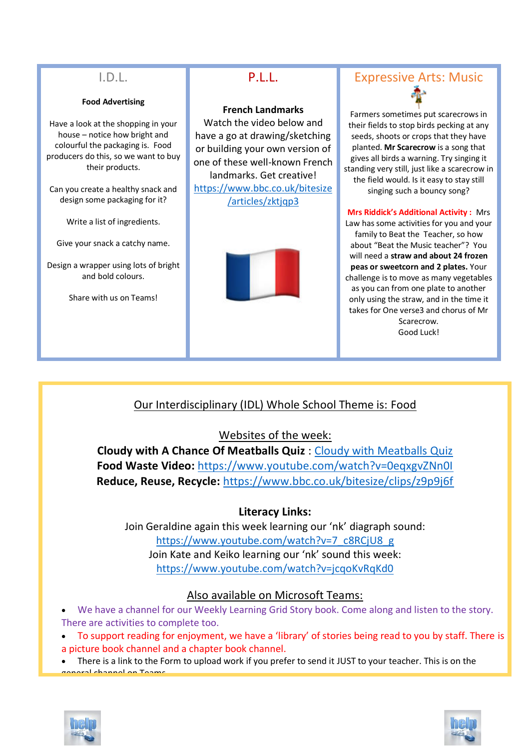# I.D.L.

#### **Food Advertising**

Have a look at the shopping in your house – notice how bright and colourful the packaging is. Food producers do this, so we want to buy their products.

Can you create a healthy snack and design some packaging for it?

Write a list of ingredients.

Give your snack a catchy name.

Design a wrapper using lots of bright and bold colours.

Share with us on Teams!

# P.L.L.

#### **French Landmarks**

Watch the video below and have a go at drawing/sketching or building your own version of one of these well-known French landmarks. Get creative! [https://www.bbc.co.uk/bitesize](https://www.bbc.co.uk/bitesize/articles/zktjqp3) [/articles/zktjqp3](https://www.bbc.co.uk/bitesize/articles/zktjqp3)



# Expressive Arts: Music

Farmers sometimes put scarecrows in their fields to stop birds pecking at any seeds, shoots or crops that they have planted. **Mr Scarecrow** is a song that gives all birds a warning. Try singing it standing very still, just like a scarecrow in the field would. Is it easy to stay still singing such a bouncy song?

#### **Mrs Riddick's Additional Activity :** Mrs

Law has some activities for you and your family to Beat the Teacher, so how about "Beat the Music teacher"? You will need a **straw and about 24 frozen peas or sweetcorn and 2 plates.** Your challenge is to move as many vegetables as you can from one plate to another only using the straw, and in the time it takes for One verse3 and chorus of Mr Scarecrow. Good Luck!

# Our Interdisciplinary (IDL) Whole School Theme is: Food

#### Websites of the week:

**Cloudy with A Chance Of Meatballs Quiz** : [Cloudy with Meatballs Quiz](https://forms.office.com/Pages/ResponsePage.aspx?id=oyzTzM4Wj0KVQTctawUZKZzSQ64uC1tLt7D6aVyhRpdUOUI1VTJWRTY4TzhCV002OFM1Wjk3WDVKQS4u) **Food Waste Video:** <https://www.youtube.com/watch?v=0eqxgvZNn0I> **Reduce, Reuse, Recycle:** <https://www.bbc.co.uk/bitesize/clips/z9p9j6f>

#### **Literacy Links:**

Join Geraldine again this week learning our 'nk' diagraph sound: [https://www.youtube.com/watch?v=7\\_c8RCjU8\\_g](https://www.youtube.com/watch?v=7_c8RCjU8_g) Join Kate and Keiko learning our 'nk' sound this week: <https://www.youtube.com/watch?v=jcqoKvRqKd0>

#### Also available on Microsoft Teams:

- We have a channel for our Weekly Learning Grid Story book. Come along and listen to the story. There are activities to complete too.
- To support reading for enjoyment, we have a 'library' of stories being read to you by staff. There is a picture book channel and a chapter book channel.
- There is a link to the Form to upload work if you prefer to send it JUST to your teacher. This is on the general channel on Teams.



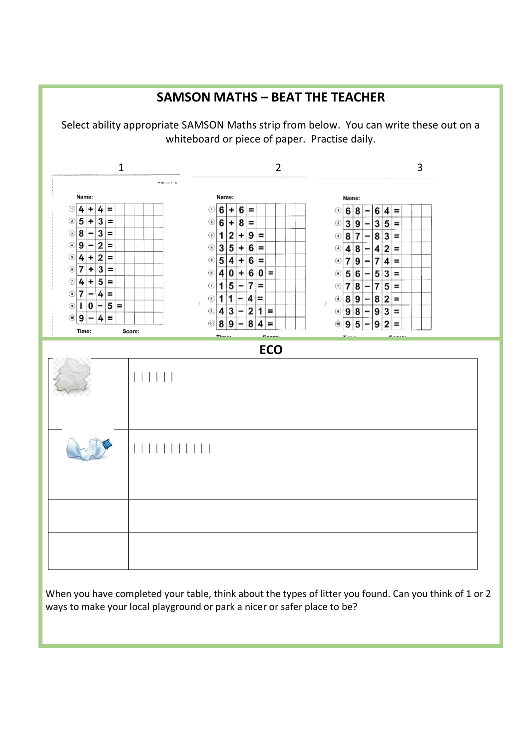

When you have completed your table, think about the types of litter you found. Can you think of 1 or 2 ways to make your local playground or park a nicer or safer place to be?